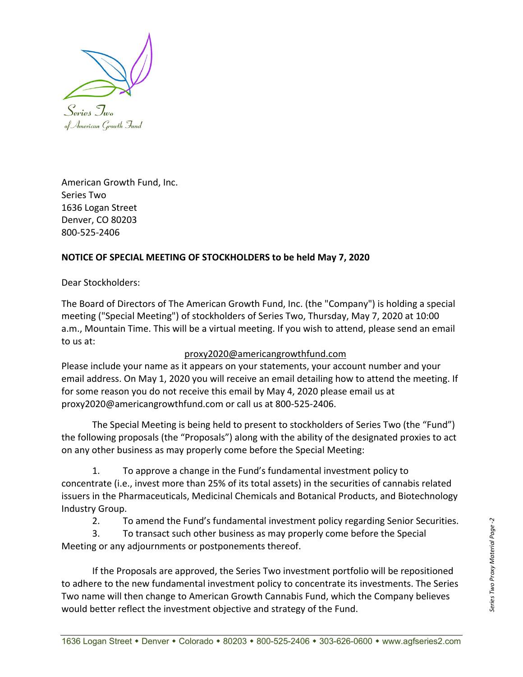

American Growth Fund, Inc. Series Two 1636 Logan Street Denver, CO 80203 800-525-2406

# **NOTICE OF SPECIAL MEETING OF STOCKHOLDERS to be held May 7, 2020**

Dear Stockholders:

The Board of Directors of The American Growth Fund, Inc. (the "Company") is holding a special meeting ("Special Meeting") of stockholders of Series Two, Thursday, May 7, 2020 at 10:00 a.m., Mountain Time. This will be a virtual meeting. If you wish to attend, please send an email to us at:

### proxy2020@americangrowthfund.com

Please include your name as it appears on your statements, your account number and your email address. On May 1, 2020 you will receive an email detailing how to attend the meeting. If for some reason you do not receive this email by May 4, 2020 please email us at proxy2020@americangrowthfund.com or call us at 800-525-2406.

 The Special Meeting is being held to present to stockholders of Series Two (the "Fund") the following proposals (the "Proposals") along with the ability of the designated proxies to act on any other business as may properly come before the Special Meeting:

 1. To approve a change in the Fund's fundamental investment policy to concentrate (i.e., invest more than 25% of its total assets) in the securities of cannabis related issuers in the Pharmaceuticals, Medicinal Chemicals and Botanical Products, and Biotechnology Industry Group.

2. To amend the Fund's fundamental investment policy regarding Senior Securities.

 3. To transact such other business as may properly come before the Special Meeting or any adjournments or postponements thereof.

 If the Proposals are approved, the Series Two investment portfolio will be repositioned to adhere to the new fundamental investment policy to concentrate its investments. The Series Two name will then change to American Growth Cannabis Fund, which the Company believes would better reflect the investment objective and strategy of the Fund.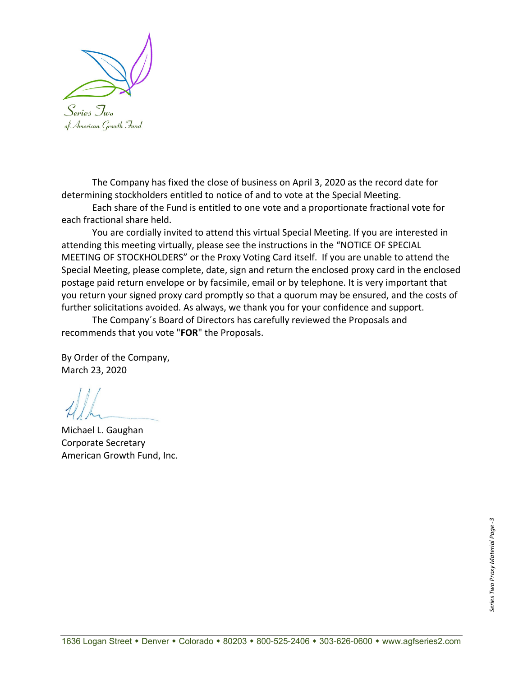

 The Company has fixed the close of business on April 3, 2020 as the record date for determining stockholders entitled to notice of and to vote at the Special Meeting.

 Each share of the Fund is entitled to one vote and a proportionate fractional vote for each fractional share held.

 You are cordially invited to attend this virtual Special Meeting. If you are interested in attending this meeting virtually, please see the instructions in the "NOTICE OF SPECIAL MEETING OF STOCKHOLDERS" or the Proxy Voting Card itself. If you are unable to attend the Special Meeting, please complete, date, sign and return the enclosed proxy card in the enclosed postage paid return envelope or by facsimile, email or by telephone. It is very important that you return your signed proxy card promptly so that a quorum may be ensured, and the costs of further solicitations avoided. As always, we thank you for your confidence and support.

 The Company´s Board of Directors has carefully reviewed the Proposals and recommends that you vote "**FOR**" the Proposals.

By Order of the Company, March 23, 2020

Michael L. Gaughan Corporate Secretary American Growth Fund, Inc.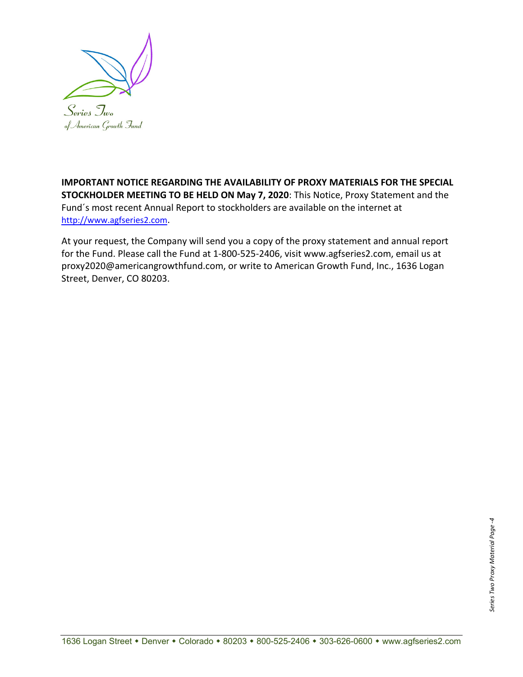

**IMPORTANT NOTICE REGARDING THE AVAILABILITY OF PROXY MATERIALS FOR THE SPECIAL STOCKHOLDER MEETING TO BE HELD ON May 7, 2020**: This Notice, Proxy Statement and the Fund´s most recent Annual Report to stockholders are available on the internet at http://www.agfseries2.com.

At your request, the Company will send you a copy of the proxy statement and annual report for the Fund. Please call the Fund at 1-800-525-2406, visit www.agfseries2.com, email us at proxy2020@americangrowthfund.com, or write to American Growth Fund, Inc., 1636 Logan Street, Denver, CO 80203.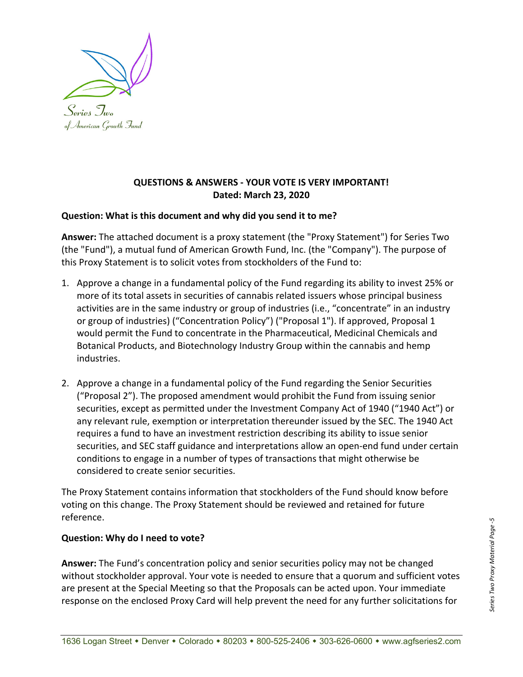

# **QUESTIONS & ANSWERS - YOUR VOTE IS VERY IMPORTANT! Dated: March 23, 2020**

### **Question: What is this document and why did you send it to me?**

**Answer:** The attached document is a proxy statement (the "Proxy Statement") for Series Two (the "Fund"), a mutual fund of American Growth Fund, Inc. (the "Company"). The purpose of this Proxy Statement is to solicit votes from stockholders of the Fund to:

- 1. Approve a change in a fundamental policy of the Fund regarding its ability to invest 25% or more of its total assets in securities of cannabis related issuers whose principal business activities are in the same industry or group of industries (i.e., "concentrate" in an industry or group of industries) ("Concentration Policy") ("Proposal 1"). If approved, Proposal 1 would permit the Fund to concentrate in the Pharmaceutical, Medicinal Chemicals and Botanical Products, and Biotechnology Industry Group within the cannabis and hemp industries.
- 2. Approve a change in a fundamental policy of the Fund regarding the Senior Securities ("Proposal 2"). The proposed amendment would prohibit the Fund from issuing senior securities, except as permitted under the Investment Company Act of 1940 ("1940 Act") or any relevant rule, exemption or interpretation thereunder issued by the SEC. The 1940 Act requires a fund to have an investment restriction describing its ability to issue senior securities, and SEC staff guidance and interpretations allow an open-end fund under certain conditions to engage in a number of types of transactions that might otherwise be considered to create senior securities.

The Proxy Statement contains information that stockholders of the Fund should know before voting on this change. The Proxy Statement should be reviewed and retained for future reference.

#### **Question: Why do I need to vote?**

**Answer:** The Fund's concentration policy and senior securities policy may not be changed without stockholder approval. Your vote is needed to ensure that a quorum and sufficient votes are present at the Special Meeting so that the Proposals can be acted upon. Your immediate response on the enclosed Proxy Card will help prevent the need for any further solicitations for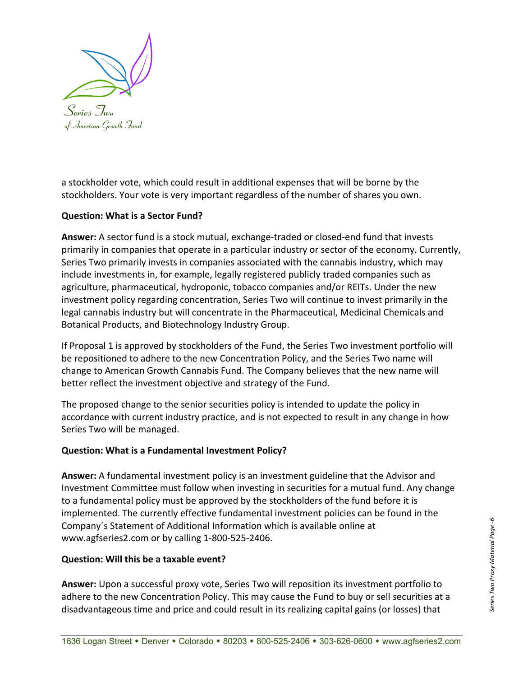

a stockholder vote, which could result in additional expenses that will be borne by the stockholders. Your vote is very important regardless of the number of shares you own.

### **Question: What is a Sector Fund?**

**Answer:** A sector fund is a stock mutual, exchange-traded or closed-end fund that invests primarily in companies that operate in a particular industry or sector of the economy. Currently, Series Two primarily invests in companies associated with the cannabis industry, which may include investments in, for example, legally registered publicly traded companies such as agriculture, pharmaceutical, hydroponic, tobacco companies and/or REITs. Under the new investment policy regarding concentration, Series Two will continue to invest primarily in the legal cannabis industry but will concentrate in the Pharmaceutical, Medicinal Chemicals and Botanical Products, and Biotechnology Industry Group.

If Proposal 1 is approved by stockholders of the Fund, the Series Two investment portfolio will be repositioned to adhere to the new Concentration Policy, and the Series Two name will change to American Growth Cannabis Fund. The Company believes that the new name will better reflect the investment objective and strategy of the Fund.

The proposed change to the senior securities policy is intended to update the policy in accordance with current industry practice, and is not expected to result in any change in how Series Two will be managed.

#### **Question: What is a Fundamental Investment Policy?**

**Answer:** A fundamental investment policy is an investment guideline that the Advisor and Investment Committee must follow when investing in securities for a mutual fund. Any change to a fundamental policy must be approved by the stockholders of the fund before it is implemented. The currently effective fundamental investment policies can be found in the Company´s Statement of Additional Information which is available online at www.agfseries2.com or by calling 1-800-525-2406.

#### **Question: Will this be a taxable event?**

**Answer:** Upon a successful proxy vote, Series Two will reposition its investment portfolio to adhere to the new Concentration Policy. This may cause the Fund to buy or sell securities at a disadvantageous time and price and could result in its realizing capital gains (or losses) that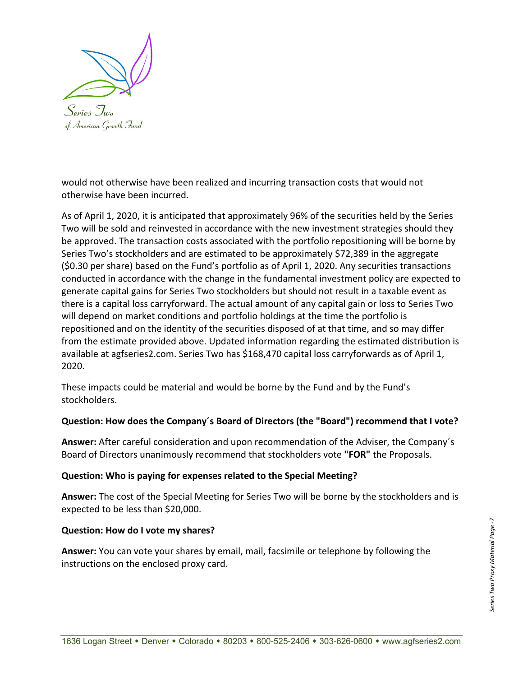

would not otherwise have been realized and incurring transaction costs that would not otherwise have been incurred.

As of April 1, 2020, it is anticipated that approximately 96% of the securities held by the Series Two will be sold and reinvested in accordance with the new investment strategies should they be approved. The transaction costs associated with the portfolio repositioning will be borne by Series Two's stockholders and are estimated to be approximately \$72,389 in the aggregate (\$0.30 per share) based on the Fund's portfolio as of April 1, 2020. Any securities transactions conducted in accordance with the change in the fundamental investment policy are expected to generate capital gains for Series Two stockholders but should not result in a taxable event as there is a capital loss carryforward. The actual amount of any capital gain or loss to Series Two will depend on market conditions and portfolio holdings at the time the portfolio is repositioned and on the identity of the securities disposed of at that time, and so may differ from the estimate provided above. Updated information regarding the estimated distribution is available at agfseries2.com. Series Two has \$168,470 capital loss carryforwards as of April 1, 2020.

These impacts could be material and would be borne by the Fund and by the Fund's stockholders.

### **Question: How does the Company´s Board of Directors (the "Board") recommend that I vote?**

**Answer:** After careful consideration and upon recommendation of the Adviser, the Company´s Board of Directors unanimously recommend that stockholders vote **"FOR"** the Proposals.

#### **Question: Who is paying for expenses related to the Special Meeting?**

**Answer:** The cost of the Special Meeting for Series Two will be borne by the stockholders and is expected to be less than \$20,000.

#### **Question: How do I vote my shares?**

**Answer:** You can vote your shares by email, mail, facsimile or telephone by following the instructions on the enclosed proxy card.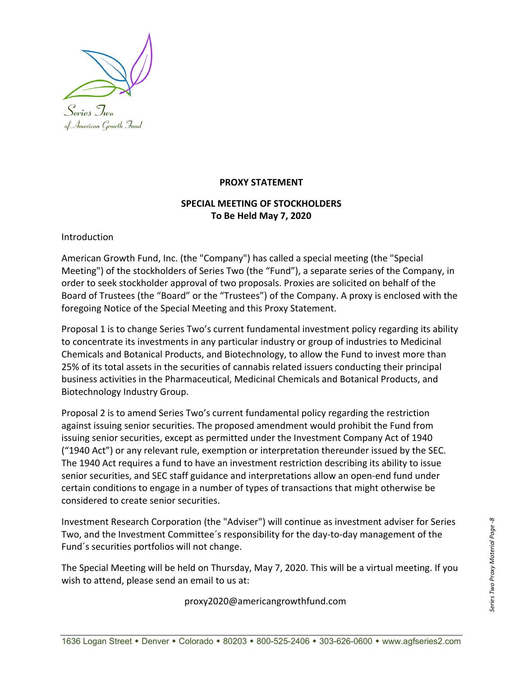

### **PROXY STATEMENT**

### **SPECIAL MEETING OF STOCKHOLDERS To Be Held May 7, 2020**

Introduction

American Growth Fund, Inc. (the "Company") has called a special meeting (the "Special Meeting") of the stockholders of Series Two (the "Fund"), a separate series of the Company, in order to seek stockholder approval of two proposals. Proxies are solicited on behalf of the Board of Trustees (the "Board" or the "Trustees") of the Company. A proxy is enclosed with the foregoing Notice of the Special Meeting and this Proxy Statement.

Proposal 1 is to change Series Two's current fundamental investment policy regarding its ability to concentrate its investments in any particular industry or group of industries to Medicinal Chemicals and Botanical Products, and Biotechnology, to allow the Fund to invest more than 25% of its total assets in the securities of cannabis related issuers conducting their principal business activities in the Pharmaceutical, Medicinal Chemicals and Botanical Products, and Biotechnology Industry Group.

Proposal 2 is to amend Series Two's current fundamental policy regarding the restriction against issuing senior securities. The proposed amendment would prohibit the Fund from issuing senior securities, except as permitted under the Investment Company Act of 1940 ("1940 Act") or any relevant rule, exemption or interpretation thereunder issued by the SEC. The 1940 Act requires a fund to have an investment restriction describing its ability to issue senior securities, and SEC staff guidance and interpretations allow an open-end fund under certain conditions to engage in a number of types of transactions that might otherwise be considered to create senior securities.

Investment Research Corporation (the "Adviser") will continue as investment adviser for Series Two, and the Investment Committee´s responsibility for the day-to-day management of the Fund´s securities portfolios will not change.

The Special Meeting will be held on Thursday, May 7, 2020. This will be a virtual meeting. If you wish to attend, please send an email to us at:

proxy2020@americangrowthfund.com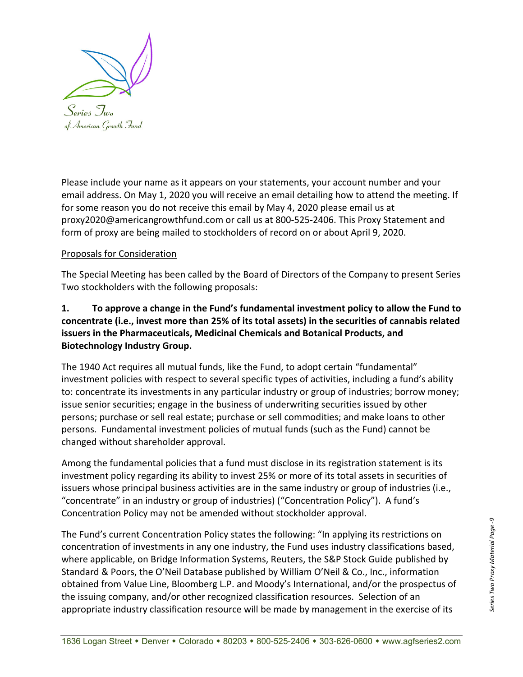

Please include your name as it appears on your statements, your account number and your email address. On May 1, 2020 you will receive an email detailing how to attend the meeting. If for some reason you do not receive this email by May 4, 2020 please email us at proxy2020@americangrowthfund.com or call us at 800-525-2406. This Proxy Statement and form of proxy are being mailed to stockholders of record on or about April 9, 2020.

### Proposals for Consideration

The Special Meeting has been called by the Board of Directors of the Company to present Series Two stockholders with the following proposals:

# **1. To approve a change in the Fund's fundamental investment policy to allow the Fund to concentrate (i.e., invest more than 25% of its total assets) in the securities of cannabis related issuers in the Pharmaceuticals, Medicinal Chemicals and Botanical Products, and Biotechnology Industry Group.**

The 1940 Act requires all mutual funds, like the Fund, to adopt certain "fundamental" investment policies with respect to several specific types of activities, including a fund's ability to: concentrate its investments in any particular industry or group of industries; borrow money; issue senior securities; engage in the business of underwriting securities issued by other persons; purchase or sell real estate; purchase or sell commodities; and make loans to other persons. Fundamental investment policies of mutual funds (such as the Fund) cannot be changed without shareholder approval.

Among the fundamental policies that a fund must disclose in its registration statement is its investment policy regarding its ability to invest 25% or more of its total assets in securities of issuers whose principal business activities are in the same industry or group of industries (i.e., "concentrate" in an industry or group of industries) ("Concentration Policy"). A fund's Concentration Policy may not be amended without stockholder approval.

The Fund's current Concentration Policy states the following: "In applying its restrictions on concentration of investments in any one industry, the Fund uses industry classifications based, where applicable, on Bridge Information Systems, Reuters, the S&P Stock Guide published by Standard & Poors, the O'Neil Database published by William O'Neil & Co., Inc., information obtained from Value Line, Bloomberg L.P. and Moody's International, and/or the prospectus of the issuing company, and/or other recognized classification resources. Selection of an appropriate industry classification resource will be made by management in the exercise of its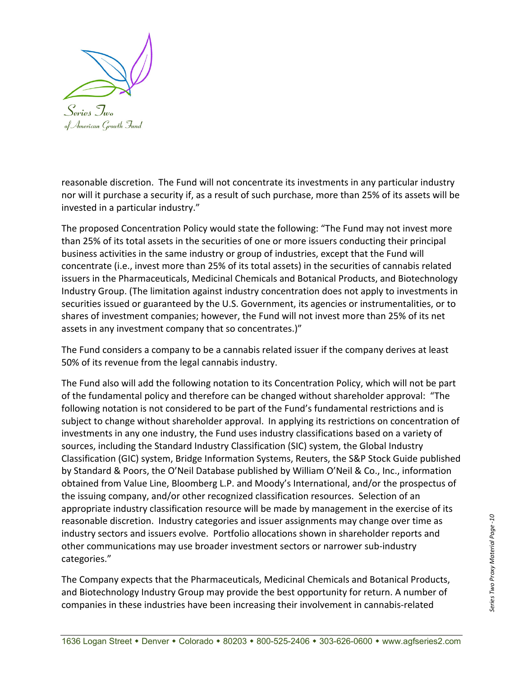

reasonable discretion. The Fund will not concentrate its investments in any particular industry nor will it purchase a security if, as a result of such purchase, more than 25% of its assets will be invested in a particular industry."

The proposed Concentration Policy would state the following: "The Fund may not invest more than 25% of its total assets in the securities of one or more issuers conducting their principal business activities in the same industry or group of industries, except that the Fund will concentrate (i.e., invest more than 25% of its total assets) in the securities of cannabis related issuers in the Pharmaceuticals, Medicinal Chemicals and Botanical Products, and Biotechnology Industry Group. (The limitation against industry concentration does not apply to investments in securities issued or guaranteed by the U.S. Government, its agencies or instrumentalities, or to shares of investment companies; however, the Fund will not invest more than 25% of its net assets in any investment company that so concentrates.)"

The Fund considers a company to be a cannabis related issuer if the company derives at least 50% of its revenue from the legal cannabis industry.

The Fund also will add the following notation to its Concentration Policy, which will not be part of the fundamental policy and therefore can be changed without shareholder approval: "The following notation is not considered to be part of the Fund's fundamental restrictions and is subject to change without shareholder approval. In applying its restrictions on concentration of investments in any one industry, the Fund uses industry classifications based on a variety of sources, including the Standard Industry Classification (SIC) system, the Global Industry Classification (GIC) system, Bridge Information Systems, Reuters, the S&P Stock Guide published by Standard & Poors, the O'Neil Database published by William O'Neil & Co., Inc., information obtained from Value Line, Bloomberg L.P. and Moody's International, and/or the prospectus of the issuing company, and/or other recognized classification resources. Selection of an appropriate industry classification resource will be made by management in the exercise of its reasonable discretion. Industry categories and issuer assignments may change over time as industry sectors and issuers evolve. Portfolio allocations shown in shareholder reports and other communications may use broader investment sectors or narrower sub-industry categories."

The Company expects that the Pharmaceuticals, Medicinal Chemicals and Botanical Products, and Biotechnology Industry Group may provide the best opportunity for return. A number of companies in these industries have been increasing their involvement in cannabis-related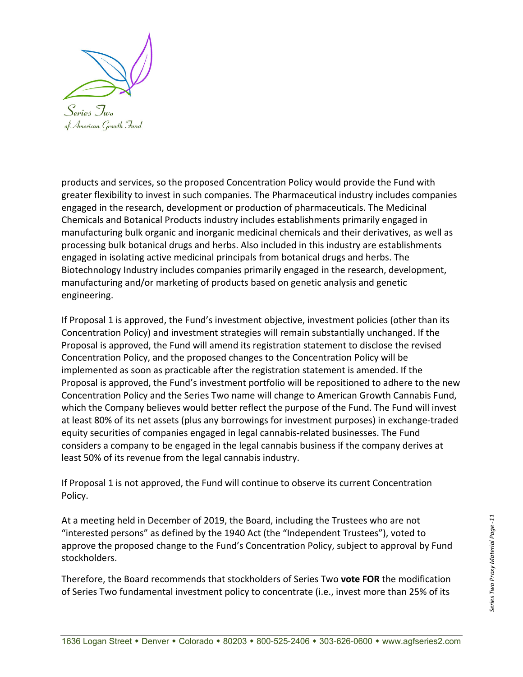

products and services, so the proposed Concentration Policy would provide the Fund with greater flexibility to invest in such companies. The Pharmaceutical industry includes companies engaged in the research, development or production of pharmaceuticals. The Medicinal Chemicals and Botanical Products industry includes establishments primarily engaged in manufacturing bulk organic and inorganic medicinal chemicals and their derivatives, as well as processing bulk botanical drugs and herbs. Also included in this industry are establishments engaged in isolating active medicinal principals from botanical drugs and herbs. The Biotechnology Industry includes companies primarily engaged in the research, development, manufacturing and/or marketing of products based on genetic analysis and genetic engineering.

If Proposal 1 is approved, the Fund's investment objective, investment policies (other than its Concentration Policy) and investment strategies will remain substantially unchanged. If the Proposal is approved, the Fund will amend its registration statement to disclose the revised Concentration Policy, and the proposed changes to the Concentration Policy will be implemented as soon as practicable after the registration statement is amended. If the Proposal is approved, the Fund's investment portfolio will be repositioned to adhere to the new Concentration Policy and the Series Two name will change to American Growth Cannabis Fund, which the Company believes would better reflect the purpose of the Fund. The Fund will invest at least 80% of its net assets (plus any borrowings for investment purposes) in exchange-traded equity securities of companies engaged in legal cannabis-related businesses. The Fund considers a company to be engaged in the legal cannabis business if the company derives at least 50% of its revenue from the legal cannabis industry.

If Proposal 1 is not approved, the Fund will continue to observe its current Concentration Policy.

At a meeting held in December of 2019, the Board, including the Trustees who are not "interested persons" as defined by the 1940 Act (the "Independent Trustees"), voted to approve the proposed change to the Fund's Concentration Policy, subject to approval by Fund stockholders.

Therefore, the Board recommends that stockholders of Series Two **vote FOR** the modification of Series Two fundamental investment policy to concentrate (i.e., invest more than 25% of its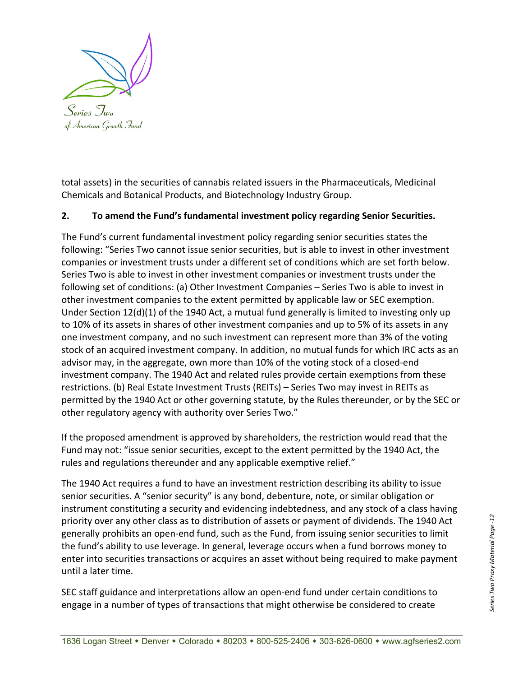

total assets) in the securities of cannabis related issuers in the Pharmaceuticals, Medicinal Chemicals and Botanical Products, and Biotechnology Industry Group.

### **2. To amend the Fund's fundamental investment policy regarding Senior Securities.**

The Fund's current fundamental investment policy regarding senior securities states the following: "Series Two cannot issue senior securities, but is able to invest in other investment companies or investment trusts under a different set of conditions which are set forth below. Series Two is able to invest in other investment companies or investment trusts under the following set of conditions: (a) Other Investment Companies – Series Two is able to invest in other investment companies to the extent permitted by applicable law or SEC exemption. Under Section 12(d)(1) of the 1940 Act, a mutual fund generally is limited to investing only up to 10% of its assets in shares of other investment companies and up to 5% of its assets in any one investment company, and no such investment can represent more than 3% of the voting stock of an acquired investment company. In addition, no mutual funds for which IRC acts as an advisor may, in the aggregate, own more than 10% of the voting stock of a closed-end investment company. The 1940 Act and related rules provide certain exemptions from these restrictions. (b) Real Estate Investment Trusts (REITs) – Series Two may invest in REITs as permitted by the 1940 Act or other governing statute, by the Rules thereunder, or by the SEC or other regulatory agency with authority over Series Two."

If the proposed amendment is approved by shareholders, the restriction would read that the Fund may not: "issue senior securities, except to the extent permitted by the 1940 Act, the rules and regulations thereunder and any applicable exemptive relief."

The 1940 Act requires a fund to have an investment restriction describing its ability to issue senior securities. A "senior security" is any bond, debenture, note, or similar obligation or instrument constituting a security and evidencing indebtedness, and any stock of a class having priority over any other class as to distribution of assets or payment of dividends. The 1940 Act generally prohibits an open-end fund, such as the Fund, from issuing senior securities to limit the fund's ability to use leverage. In general, leverage occurs when a fund borrows money to enter into securities transactions or acquires an asset without being required to make payment until a later time.

SEC staff guidance and interpretations allow an open-end fund under certain conditions to engage in a number of types of transactions that might otherwise be considered to create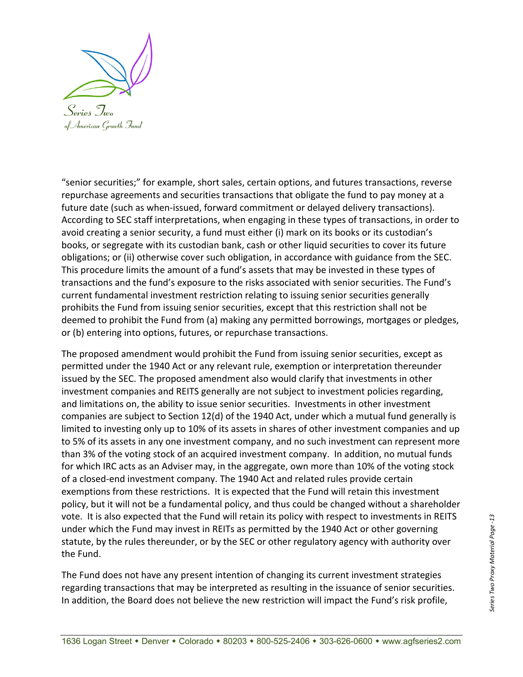

"senior securities;" for example, short sales, certain options, and futures transactions, reverse repurchase agreements and securities transactions that obligate the fund to pay money at a future date (such as when-issued, forward commitment or delayed delivery transactions). According to SEC staff interpretations, when engaging in these types of transactions, in order to avoid creating a senior security, a fund must either (i) mark on its books or its custodian's books, or segregate with its custodian bank, cash or other liquid securities to cover its future obligations; or (ii) otherwise cover such obligation, in accordance with guidance from the SEC. This procedure limits the amount of a fund's assets that may be invested in these types of transactions and the fund's exposure to the risks associated with senior securities. The Fund's current fundamental investment restriction relating to issuing senior securities generally prohibits the Fund from issuing senior securities, except that this restriction shall not be deemed to prohibit the Fund from (a) making any permitted borrowings, mortgages or pledges, or (b) entering into options, futures, or repurchase transactions.

The proposed amendment would prohibit the Fund from issuing senior securities, except as permitted under the 1940 Act or any relevant rule, exemption or interpretation thereunder issued by the SEC. The proposed amendment also would clarify that investments in other investment companies and REITS generally are not subject to investment policies regarding, and limitations on, the ability to issue senior securities. Investments in other investment companies are subject to Section 12(d) of the 1940 Act, under which a mutual fund generally is limited to investing only up to 10% of its assets in shares of other investment companies and up to 5% of its assets in any one investment company, and no such investment can represent more than 3% of the voting stock of an acquired investment company. In addition, no mutual funds for which IRC acts as an Adviser may, in the aggregate, own more than 10% of the voting stock of a closed-end investment company. The 1940 Act and related rules provide certain exemptions from these restrictions. It is expected that the Fund will retain this investment policy, but it will not be a fundamental policy, and thus could be changed without a shareholder vote. It is also expected that the Fund will retain its policy with respect to investments in REITS under which the Fund may invest in REITs as permitted by the 1940 Act or other governing statute, by the rules thereunder, or by the SEC or other regulatory agency with authority over the Fund.

The Fund does not have any present intention of changing its current investment strategies regarding transactions that may be interpreted as resulting in the issuance of senior securities. In addition, the Board does not believe the new restriction will impact the Fund's risk profile,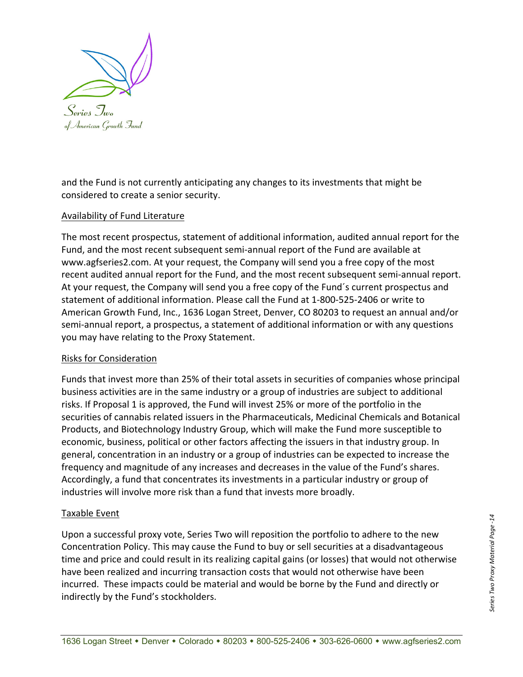

and the Fund is not currently anticipating any changes to its investments that might be considered to create a senior security.

### Availability of Fund Literature

The most recent prospectus, statement of additional information, audited annual report for the Fund, and the most recent subsequent semi-annual report of the Fund are available at www.agfseries2.com. At your request, the Company will send you a free copy of the most recent audited annual report for the Fund, and the most recent subsequent semi-annual report. At your request, the Company will send you a free copy of the Fund´s current prospectus and statement of additional information. Please call the Fund at 1-800-525-2406 or write to American Growth Fund, Inc., 1636 Logan Street, Denver, CO 80203 to request an annual and/or semi-annual report, a prospectus, a statement of additional information or with any questions you may have relating to the Proxy Statement.

#### Risks for Consideration

Funds that invest more than 25% of their total assets in securities of companies whose principal business activities are in the same industry or a group of industries are subject to additional risks. If Proposal 1 is approved, the Fund will invest 25% or more of the portfolio in the securities of cannabis related issuers in the Pharmaceuticals, Medicinal Chemicals and Botanical Products, and Biotechnology Industry Group, which will make the Fund more susceptible to economic, business, political or other factors affecting the issuers in that industry group. In general, concentration in an industry or a group of industries can be expected to increase the frequency and magnitude of any increases and decreases in the value of the Fund's shares. Accordingly, a fund that concentrates its investments in a particular industry or group of industries will involve more risk than a fund that invests more broadly.

#### Taxable Event

Upon a successful proxy vote, Series Two will reposition the portfolio to adhere to the new Concentration Policy. This may cause the Fund to buy or sell securities at a disadvantageous time and price and could result in its realizing capital gains (or losses) that would not otherwise have been realized and incurring transaction costs that would not otherwise have been incurred. These impacts could be material and would be borne by the Fund and directly or indirectly by the Fund's stockholders.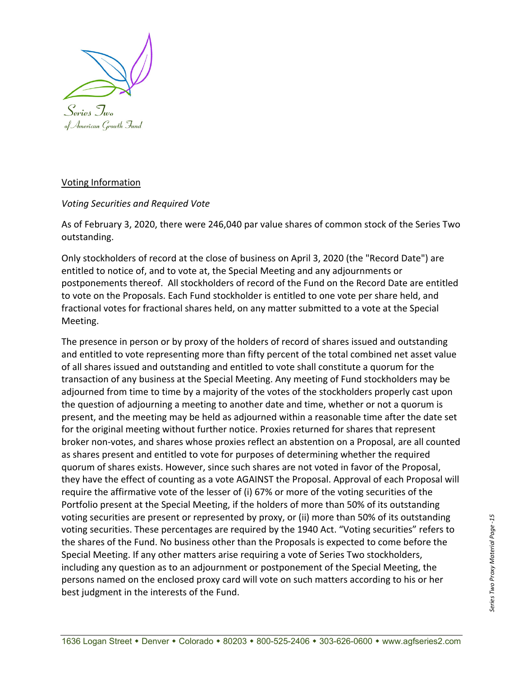

### Voting Information

#### *Voting Securities and Required Vote*

As of February 3, 2020, there were 246,040 par value shares of common stock of the Series Two outstanding.

Only stockholders of record at the close of business on April 3, 2020 (the "Record Date") are entitled to notice of, and to vote at, the Special Meeting and any adjournments or postponements thereof. All stockholders of record of the Fund on the Record Date are entitled to vote on the Proposals. Each Fund stockholder is entitled to one vote per share held, and fractional votes for fractional shares held, on any matter submitted to a vote at the Special Meeting.

The presence in person or by proxy of the holders of record of shares issued and outstanding and entitled to vote representing more than fifty percent of the total combined net asset value of all shares issued and outstanding and entitled to vote shall constitute a quorum for the transaction of any business at the Special Meeting. Any meeting of Fund stockholders may be adjourned from time to time by a majority of the votes of the stockholders properly cast upon the question of adjourning a meeting to another date and time, whether or not a quorum is present, and the meeting may be held as adjourned within a reasonable time after the date set for the original meeting without further notice. Proxies returned for shares that represent broker non-votes, and shares whose proxies reflect an abstention on a Proposal, are all counted as shares present and entitled to vote for purposes of determining whether the required quorum of shares exists. However, since such shares are not voted in favor of the Proposal, they have the effect of counting as a vote AGAINST the Proposal. Approval of each Proposal will require the affirmative vote of the lesser of (i) 67% or more of the voting securities of the Portfolio present at the Special Meeting, if the holders of more than 50% of its outstanding voting securities are present or represented by proxy, or (ii) more than 50% of its outstanding voting securities. These percentages are required by the 1940 Act. "Voting securities" refers to the shares of the Fund. No business other than the Proposals is expected to come before the Special Meeting. If any other matters arise requiring a vote of Series Two stockholders, including any question as to an adjournment or postponement of the Special Meeting, the persons named on the enclosed proxy card will vote on such matters according to his or her best judgment in the interests of the Fund.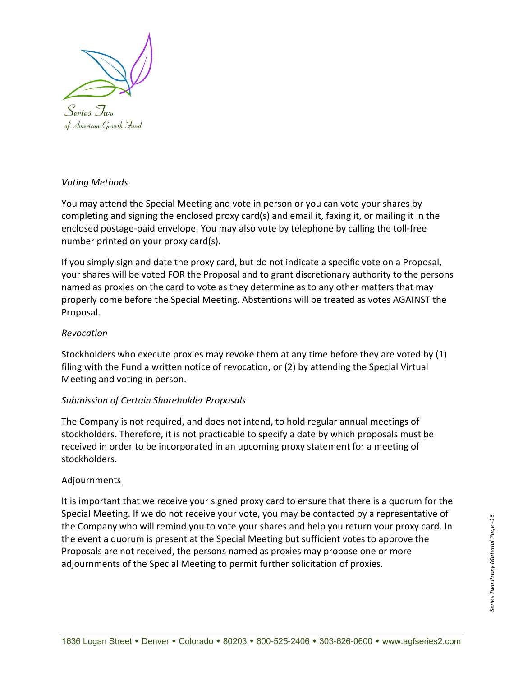

### *Voting Methods*

You may attend the Special Meeting and vote in person or you can vote your shares by completing and signing the enclosed proxy card(s) and email it, faxing it, or mailing it in the enclosed postage-paid envelope. You may also vote by telephone by calling the toll-free number printed on your proxy card(s).

If you simply sign and date the proxy card, but do not indicate a specific vote on a Proposal, your shares will be voted FOR the Proposal and to grant discretionary authority to the persons named as proxies on the card to vote as they determine as to any other matters that may properly come before the Special Meeting. Abstentions will be treated as votes AGAINST the Proposal.

#### *Revocation*

Stockholders who execute proxies may revoke them at any time before they are voted by (1) filing with the Fund a written notice of revocation, or (2) by attending the Special Virtual Meeting and voting in person.

### *Submission of Certain Shareholder Proposals*

The Company is not required, and does not intend, to hold regular annual meetings of stockholders. Therefore, it is not practicable to specify a date by which proposals must be received in order to be incorporated in an upcoming proxy statement for a meeting of stockholders.

#### Adjournments

It is important that we receive your signed proxy card to ensure that there is a quorum for the Special Meeting. If we do not receive your vote, you may be contacted by a representative of the Company who will remind you to vote your shares and help you return your proxy card. In the event a quorum is present at the Special Meeting but sufficient votes to approve the Proposals are not received, the persons named as proxies may propose one or more adjournments of the Special Meeting to permit further solicitation of proxies.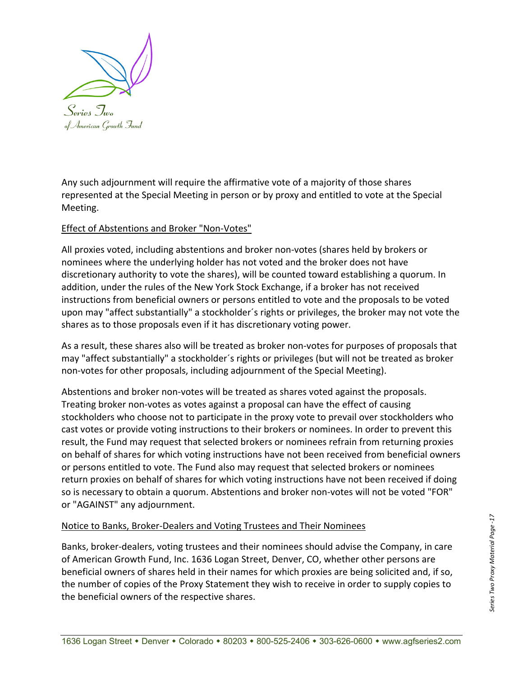

Any such adjournment will require the affirmative vote of a majority of those shares represented at the Special Meeting in person or by proxy and entitled to vote at the Special Meeting.

### Effect of Abstentions and Broker "Non-Votes"

All proxies voted, including abstentions and broker non-votes (shares held by brokers or nominees where the underlying holder has not voted and the broker does not have discretionary authority to vote the shares), will be counted toward establishing a quorum. In addition, under the rules of the New York Stock Exchange, if a broker has not received instructions from beneficial owners or persons entitled to vote and the proposals to be voted upon may "affect substantially" a stockholder´s rights or privileges, the broker may not vote the shares as to those proposals even if it has discretionary voting power.

As a result, these shares also will be treated as broker non-votes for purposes of proposals that may "affect substantially" a stockholder´s rights or privileges (but will not be treated as broker non-votes for other proposals, including adjournment of the Special Meeting).

Abstentions and broker non-votes will be treated as shares voted against the proposals. Treating broker non-votes as votes against a proposal can have the effect of causing stockholders who choose not to participate in the proxy vote to prevail over stockholders who cast votes or provide voting instructions to their brokers or nominees. In order to prevent this result, the Fund may request that selected brokers or nominees refrain from returning proxies on behalf of shares for which voting instructions have not been received from beneficial owners or persons entitled to vote. The Fund also may request that selected brokers or nominees return proxies on behalf of shares for which voting instructions have not been received if doing so is necessary to obtain a quorum. Abstentions and broker non-votes will not be voted "FOR" or "AGAINST" any adjournment.

#### Notice to Banks, Broker-Dealers and Voting Trustees and Their Nominees

Banks, broker-dealers, voting trustees and their nominees should advise the Company, in care of American Growth Fund, Inc. 1636 Logan Street, Denver, CO, whether other persons are beneficial owners of shares held in their names for which proxies are being solicited and, if so, the number of copies of the Proxy Statement they wish to receive in order to supply copies to the beneficial owners of the respective shares.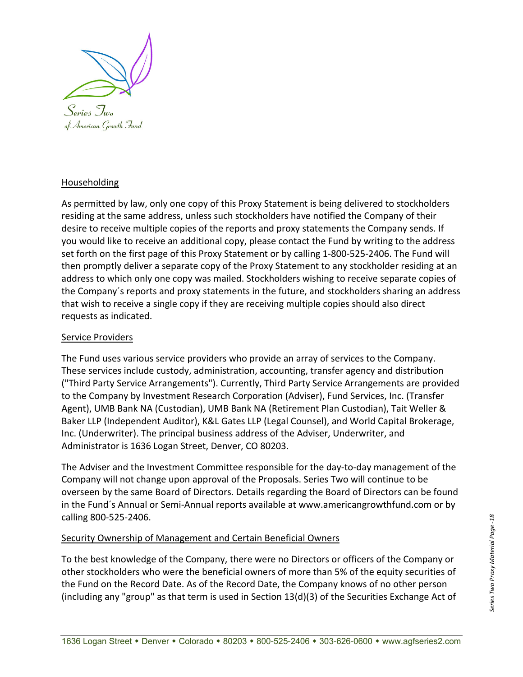

### **Householding**

As permitted by law, only one copy of this Proxy Statement is being delivered to stockholders residing at the same address, unless such stockholders have notified the Company of their desire to receive multiple copies of the reports and proxy statements the Company sends. If you would like to receive an additional copy, please contact the Fund by writing to the address set forth on the first page of this Proxy Statement or by calling 1-800-525-2406. The Fund will then promptly deliver a separate copy of the Proxy Statement to any stockholder residing at an address to which only one copy was mailed. Stockholders wishing to receive separate copies of the Company´s reports and proxy statements in the future, and stockholders sharing an address that wish to receive a single copy if they are receiving multiple copies should also direct requests as indicated.

#### Service Providers

The Fund uses various service providers who provide an array of services to the Company. These services include custody, administration, accounting, transfer agency and distribution ("Third Party Service Arrangements"). Currently, Third Party Service Arrangements are provided to the Company by Investment Research Corporation (Adviser), Fund Services, Inc. (Transfer Agent), UMB Bank NA (Custodian), UMB Bank NA (Retirement Plan Custodian), Tait Weller & Baker LLP (Independent Auditor), K&L Gates LLP (Legal Counsel), and World Capital Brokerage, Inc. (Underwriter). The principal business address of the Adviser, Underwriter, and Administrator is 1636 Logan Street, Denver, CO 80203.

The Adviser and the Investment Committee responsible for the day-to-day management of the Company will not change upon approval of the Proposals. Series Two will continue to be overseen by the same Board of Directors. Details regarding the Board of Directors can be found in the Fund´s Annual or Semi-Annual reports available at www.americangrowthfund.com or by calling 800-525-2406.

### Security Ownership of Management and Certain Beneficial Owners

To the best knowledge of the Company, there were no Directors or officers of the Company or other stockholders who were the beneficial owners of more than 5% of the equity securities of the Fund on the Record Date. As of the Record Date, the Company knows of no other person (including any "group" as that term is used in Section 13(d)(3) of the Securities Exchange Act of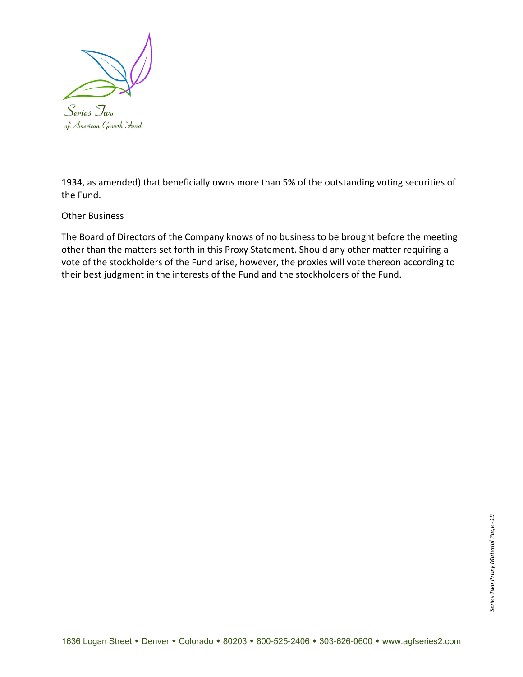

1934, as amended) that beneficially owns more than 5% of the outstanding voting securities of the Fund.

### **Other Business**

The Board of Directors of the Company knows of no business to be brought before the meeting other than the matters set forth in this Proxy Statement. Should any other matter requiring a vote of the stockholders of the Fund arise, however, the proxies will vote thereon according to their best judgment in the interests of the Fund and the stockholders of the Fund.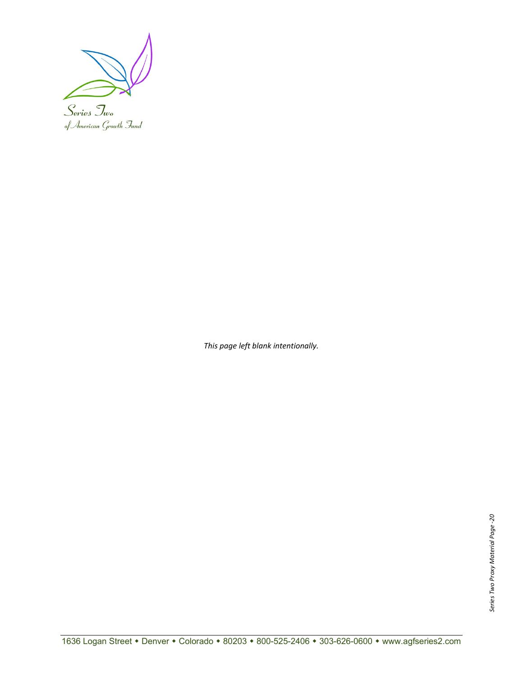

*This page left blank intentionally.*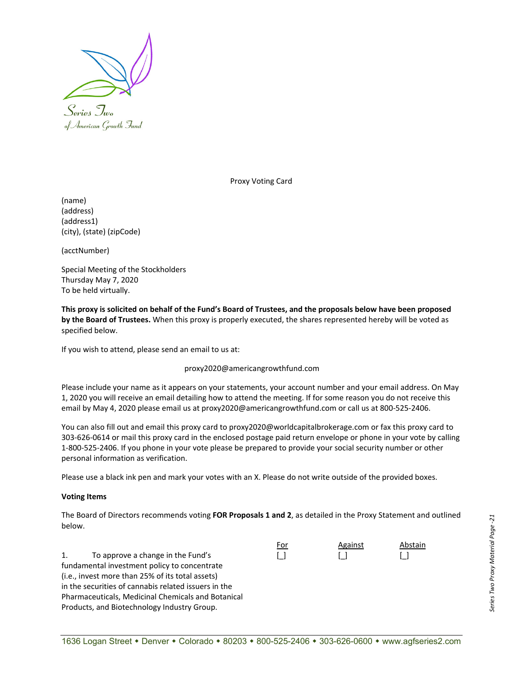

Proxy Voting Card

(name) (address) (address1) (city), (state) (zipCode)

(acctNumber)

Special Meeting of the Stockholders Thursday May 7, 2020 To be held virtually.

**This proxy is solicited on behalf of the Fund's Board of Trustees, and the proposals below have been proposed by the Board of Trustees.** When this proxy is properly executed, the shares represented hereby will be voted as specified below.

If you wish to attend, please send an email to us at:

#### proxy2020@americangrowthfund.com

Please include your name as it appears on your statements, your account number and your email address. On May 1, 2020 you will receive an email detailing how to attend the meeting. If for some reason you do not receive this email by May 4, 2020 please email us at proxy2020@americangrowthfund.com or call us at 800-525-2406.

You can also fill out and email this proxy card to proxy2020@worldcapitalbrokerage.com or fax this proxy card to 303-626-0614 or mail this proxy card in the enclosed postage paid return envelope or phone in your vote by calling 1-800-525-2406. If you phone in your vote please be prepared to provide your social security number or other personal information as verification.

Please use a black ink pen and mark your votes with an X. Please do not write outside of the provided boxes.

#### **Voting Items**

The Board of Directors recommends voting **FOR Proposals 1 and 2**, as detailed in the Proxy Statement and outlined below.

fundamental investment policy to concentrate (i.e., invest more than 25% of its total assets) in the securities of cannabis related issuers in the Pharmaceuticals, Medicinal Chemicals and Botanical Products, and Biotechnology Industry Group.

**For Against Abstain Abstain** Abstain Abstain Against Abstain Abstain Abstain Abstain Abstain Abstain Abstain Abstain Abstain Abstain Abstain Abstain Abstain Abstain Abstain Abstain Abstain Abstain Abstain Abstain Abstain 1. To approve a change in the Fund's Transford Controller and the Fund's and Transford Controller and Transfor<br>1. To approve a change in the Fund's Transform [] [] [] []